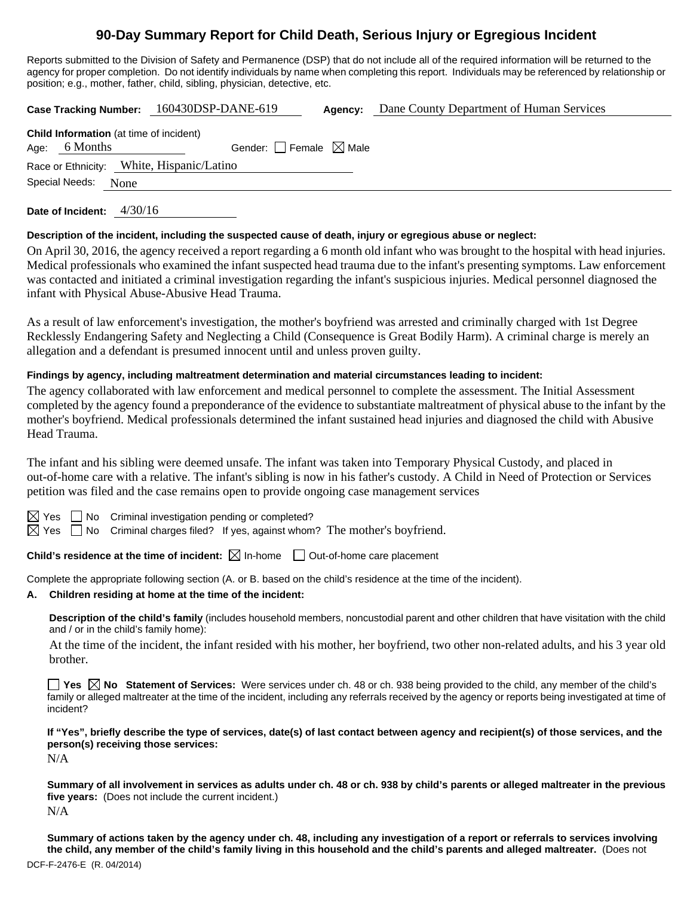# **90-Day Summary Report for Child Death, Serious Injury or Egregious Incident**

Reports submitted to the Division of Safety and Permanence (DSP) that do not include all of the required information will be returned to the agency for proper completion. Do not identify individuals by name when completing this report. Individuals may be referenced by relationship or position; e.g., mother, father, child, sibling, physician, detective, etc.

**Case Tracking Number:** 160430DSP-DANE-619 **Agency:** Dane County Department of Human Services

**Child Information** (at time of incident) Age: 6 Months Gender:  $\Box$  Female  $\boxtimes$  Male Race or Ethnicity: White, Hispanic/Latino Special Needs: None

**Date of Incident:** 4/30/16

### **Description of the incident, including the suspected cause of death, injury or egregious abuse or neglect:**

On April 30, 2016, the agency received a report regarding a 6 month old infant who was brought to the hospital with head injuries. Medical professionals who examined the infant suspected head trauma due to the infant's presenting symptoms. Law enforcement was contacted and initiated a criminal investigation regarding the infant's suspicious injuries. Medical personnel diagnosed the infant with Physical Abuse-Abusive Head Trauma.

As a result of law enforcement's investigation, the mother's boyfriend was arrested and criminally charged with 1st Degree Recklessly Endangering Safety and Neglecting a Child (Consequence is Great Bodily Harm). A criminal charge is merely an allegation and a defendant is presumed innocent until and unless proven guilty.

# **Findings by agency, including maltreatment determination and material circumstances leading to incident:**

The agency collaborated with law enforcement and medical personnel to complete the assessment. The Initial Assessment completed by the agency found a preponderance of the evidence to substantiate maltreatment of physical abuse to the infant by the mother's boyfriend. Medical professionals determined the infant sustained head injuries and diagnosed the child with Abusive Head Trauma.

The infant and his sibling were deemed unsafe. The infant was taken into Temporary Physical Custody, and placed in out-of-home care with a relative. The infant's sibling is now in his father's custody. A Child in Need of Protection or Services petition was filed and the case remains open to provide ongoing case management services



 $\boxtimes$  Yes  $\Box$  No Criminal investigation pending or completed?

 $\boxtimes$  Yes  $\Box$  No Criminal charges filed? If yes, against whom? The mother's boyfriend.

**Child's residence at the time of incident:**  $\boxtimes$  In-home  $\Box$  Out-of-home care placement

Complete the appropriate following section (A. or B. based on the child's residence at the time of the incident).

### **A. Children residing at home at the time of the incident:**

**Description of the child's family** (includes household members, noncustodial parent and other children that have visitation with the child and / or in the child's family home):

 At the time of the incident, the infant resided with his mother, her boyfriend, two other non-related adults, and his 3 year old brother.

**Yes No Statement of Services:** Were services under ch. 48 or ch. 938 being provided to the child, any member of the child's family or alleged maltreater at the time of the incident, including any referrals received by the agency or reports being investigated at time of incident?

**If "Yes", briefly describe the type of services, date(s) of last contact between agency and recipient(s) of those services, and the person(s) receiving those services:** 

N/A

**Summary of all involvement in services as adults under ch. 48 or ch. 938 by child's parents or alleged maltreater in the previous five years:** (Does not include the current incident.) N/A

DCF-F-2476-E (R. 04/2014) **Summary of actions taken by the agency under ch. 48, including any investigation of a report or referrals to services involving the child, any member of the child's family living in this household and the child's parents and alleged maltreater.** (Does not